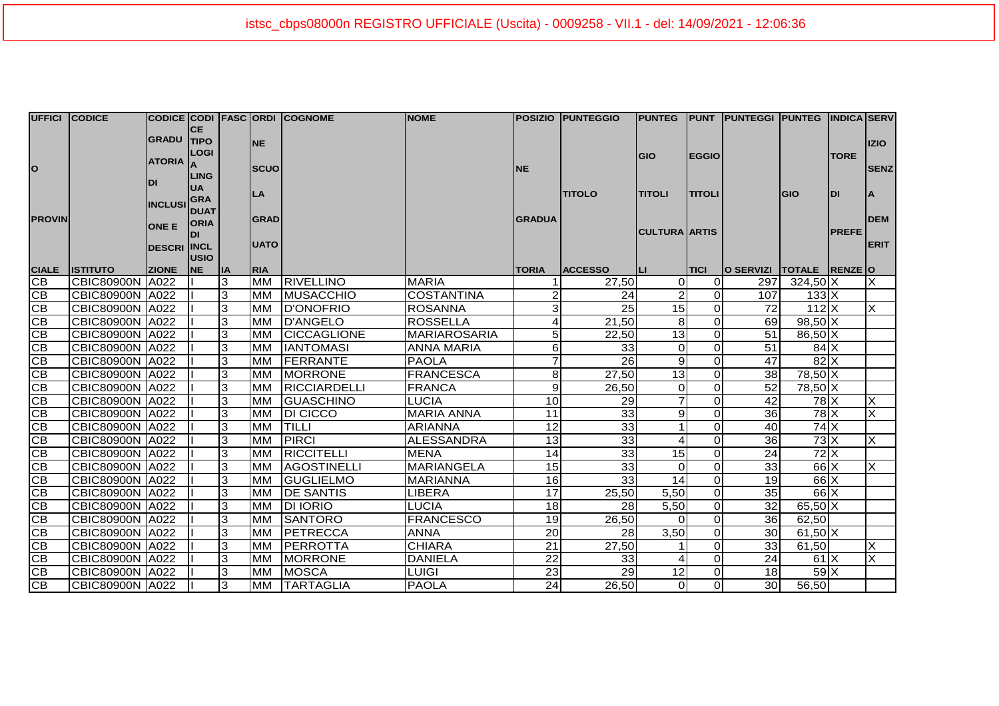| UFFICI CODICE                     |                   |                      |             |           |             | CODICE CODI FASC ORDI COGNOME | <b>NOME</b>         |                 | POSIZIO  PUNTEGGIO |                        |                | PUNTEG PUNT PUNTEGGI PUNTEG INDICA SERV |                                |              |                         |
|-----------------------------------|-------------------|----------------------|-------------|-----------|-------------|-------------------------------|---------------------|-----------------|--------------------|------------------------|----------------|-----------------------------------------|--------------------------------|--------------|-------------------------|
|                                   |                   | GRADU TIPO           | <b>CE</b>   |           |             |                               |                     |                 |                    |                        |                |                                         |                                |              |                         |
| $\overline{\phantom{a}}$          |                   |                      | <b>LOGI</b> |           | INE.        |                               |                     |                 |                    |                        |                |                                         |                                | <b>IZIO</b>  |                         |
|                                   |                   | <b>ATORIA</b><br>IDI |             |           |             |                               |                     |                 |                    | <b>GIO</b>             | <b>EGGIO</b>   |                                         |                                | <b>TORE</b>  |                         |
|                                   |                   |                      | <b>LING</b> |           | <b>SCUO</b> |                               |                     | <b>NE</b>       |                    |                        |                |                                         |                                |              | <b>SENZ</b>             |
|                                   |                   |                      | UA          |           |             |                               |                     |                 |                    |                        |                |                                         |                                |              |                         |
|                                   |                   | <b>INCLUSI</b>       | <b>GRA</b>  |           | LA          |                               |                     |                 | <b>TITOLO</b>      | <b>TITOLI</b>          | <b>TITOLI</b>  |                                         | GIO                            | <b>DI</b>    | ΙA                      |
| <b>PROVIN</b>                     |                   |                      | <b>DUAT</b> |           | <b>GRAD</b> |                               |                     | <b>GRADUA</b>   |                    |                        |                |                                         |                                |              | <b>DEM</b>              |
|                                   |                   | <b>ONE E</b>         | <b>ORIA</b> |           |             |                               |                     |                 |                    | <b>CULTURA ARTIS</b>   |                |                                         |                                | <b>PREFE</b> |                         |
|                                   |                   | <b>DESCRI INCL</b>   |             |           | <b>UATO</b> |                               |                     |                 |                    |                        |                |                                         |                                |              | <b>ERIT</b>             |
|                                   |                   |                      | <b>USIO</b> |           |             |                               |                     |                 |                    |                        |                |                                         |                                |              |                         |
| <b>CIALE</b>                      | <b>ISTITUTO</b>   | <b>ZIONE</b>         | <b>NE</b>   | <b>IA</b> | <b>RIA</b>  |                               |                     | <b>TORIA</b>    | <b>ACCESSO</b>     | ш                      | <b>TICI</b>    | O SERVIZI   TOTALE   RENZE O            |                                |              |                         |
| IСB                               | CBIC80900N A022   |                      |             | 3         | <b>MM</b>   | <b>RIVELLINO</b>              | <b>MARIA</b>        |                 | 27,50              | $\overline{0}$         | ΟI             | 297                                     | $324,50$ X                     |              | X                       |
| CB                                | CBIC80900N A022   |                      |             | 3         | IMM         | <b>MUSACCHIO</b>              | <b>COSTANTINA</b>   |                 | 24                 | $\overline{a}$         | $\Omega$       | 107                                     | $133$ X                        |              |                         |
| CB                                | CBIC80900N A022   |                      |             | 3         | IMM         | <b>ID'ONOFRIO</b>             | <b>ROSANNA</b>      | $\overline{3}$  | 25                 | 15                     | $\Omega$       | 72                                      | $112$ $X$                      |              | $\overline{\mathsf{x}}$ |
| CB                                | CBIC80900N   A022 |                      |             | 3         | Імм         | D'ANGELO                      | ROSSELLA            | 4               | 21,50              | 8                      | $\Omega$       | 69                                      | $98,50$ X                      |              |                         |
| CB                                | CBIC80900N A022   |                      |             | 3         | <b>MM</b>   | <b>CICCAGLIONE</b>            | <b>MARIAROSARIA</b> | 5               | 22,50              | 13                     | $\Omega$       | 51                                      | 86,50 X                        |              |                         |
| CB                                | CBIC80900N A022   |                      |             | 3         | IMM         | <b>IANTOMASI</b>              | <b>ANNA MARIA</b>   | 6               | 33                 | $\Omega$               | $\Omega$       | 51                                      | $84$ $X$                       |              |                         |
| $\overline{CB}$                   | CBIC80900N A022   |                      |             | 3         | IMM         | FERRANTE                      | <b>PAOLA</b>        | 7               | 26                 | 9                      | $\Omega$       | 47                                      | $82$ X                         |              |                         |
| CB                                | CBIC80900N A022   |                      |             | 3         | IMM         | <b>MORRONE</b>                | <b>FRANCESCA</b>    | 8 <sup>1</sup>  | 27,50              | 13                     | $\Omega$       | 38                                      | 78,50 X                        |              |                         |
| $\overline{CB}$                   | CBIC80900N A022   |                      |             | 3         | <b>MM</b>   | RICCIARDELLI                  | <b>FRANCA</b>       | 9               | 26,50              | $\Omega$               | $\Omega$       | 52                                      | 78,50 X                        |              |                         |
| CB                                | CBIC80900N A022   |                      |             | 3         | IMM         | <b>GUASCHINO</b>              | <b>LUCIA</b>        | 10 <sup>1</sup> | 29                 | $\overline{7}$         | $\Omega$       | $\overline{42}$                         | $78$ $X$                       |              | $\overline{\mathsf{x}}$ |
| CB                                | CBIC80900N A022   |                      |             | 3         | <b>MM</b>   | <b>DI CICCO</b>               | <b>MARIA ANNA</b>   | 11              | 33                 | $\overline{9}$         | $\Omega$       | 36                                      | 78 X                           |              | $\overline{\mathsf{X}}$ |
| $\overline{CB}$                   | CBIC80900N A022   |                      |             | 3         | <b>MM</b>   | <b>TILLI</b>                  | <b>ARIANNA</b>      | 12              | 33                 | $\mathbf{1}$           | $\Omega$       | 40                                      | $74$ $X$                       |              |                         |
| $\overline{\overline{\text{CB}}}$ | CBIC80900N A022   |                      |             | 3         | <b>MM</b>   | <b>IPIRCI</b>                 | <b>ALESSANDRA</b>   | 13              | 33                 | $\boldsymbol{\Lambda}$ | $\Omega$       | 36                                      | $73\overline{\mathrm{X}}$      |              | $\overline{\mathsf{x}}$ |
| CB                                | CBIC80900N A022   |                      |             | 3         | IMM         | <b>RICCITELLI</b>             | <b>MENA</b>         | 14              | 33                 | 15                     | $\overline{0}$ | 24                                      | $72$ $X$                       |              |                         |
| $\overline{CB}$                   | CBIC80900N A022   |                      |             | 3         | Імм         | <b>AGOSTINELLI</b>            | <b>MARIANGELA</b>   | 15              | 33                 | $\Omega$               | $\Omega$       | 33                                      | $66$ <sup><math>X</math></sup> |              | $\overline{\mathsf{x}}$ |
| $\overline{CB}$                   | CBIC80900N A022   |                      |             | 3         | <b>MM</b>   | <b>GUGLIELMO</b>              | <b>MARIANNA</b>     | 16              | 33                 | 14                     | $\overline{0}$ | 19                                      | $66$ X                         |              |                         |
| CB                                | CBIC80900N A022   |                      |             | 3         | IMM         | <b>DE SANTIS</b>              | LIBERA              | 17              | 25,50              | 5,50                   | $\overline{0}$ | 35                                      | $66$ $X$                       |              |                         |
| CB                                | CBIC80900N   A022 |                      |             | 3         | IMM         | <b>DI IORIO</b>               | LUCIA               | 18 <sup>1</sup> | 28                 | 5,50                   | $\overline{0}$ | 32                                      | 65,50 X                        |              |                         |
| CB                                | CBIC80900N A022   |                      |             | 3         | <b>MM</b>   | <b>SANTORO</b>                | <b>FRANCESCO</b>    | 19              | 26,50              | $\Omega$               | $\Omega$       | 36                                      | 62,50                          |              |                         |
| CB                                | CBIC80900N A022   |                      |             | 3         | Імм         | <b>PETRECCA</b>               | <b>ANNA</b>         | 20              | 28                 | 3,50                   | $\Omega$       | 30                                      | $61,50$ X                      |              |                         |
| CB                                | CBIC80900N A022   |                      |             | 3         | IMM         | <b>PERROTTA</b>               | <b>CHIARA</b>       | 21              | 27,50              | 1                      | $\Omega$       | 33                                      | 61,50                          |              | X                       |
| CB                                | CBIC80900N A022   |                      |             | 3         | IMM         | <b>MORRONE</b>                | <b>DANIELA</b>      | 22              | 33                 | 4                      | $\Omega$       | 24                                      | 61X                            |              | X                       |
| CB                                | CBIC80900N A022   |                      |             | 3         | <b>IMM</b>  | MOSCA                         | <b>LUIGI</b>        | 23              | 29                 | 12                     | $\Omega$       | 18                                      | $59$ $X$                       |              |                         |
| CB                                | CBIC80900N A022   |                      |             | 3         | <b>MM</b>   | <b>TARTAGLIA</b>              | <b>PAOLA</b>        | 24              | 26,50              | 0                      | $\Omega$       | 30 <sub>o</sub>                         | 56,50                          |              |                         |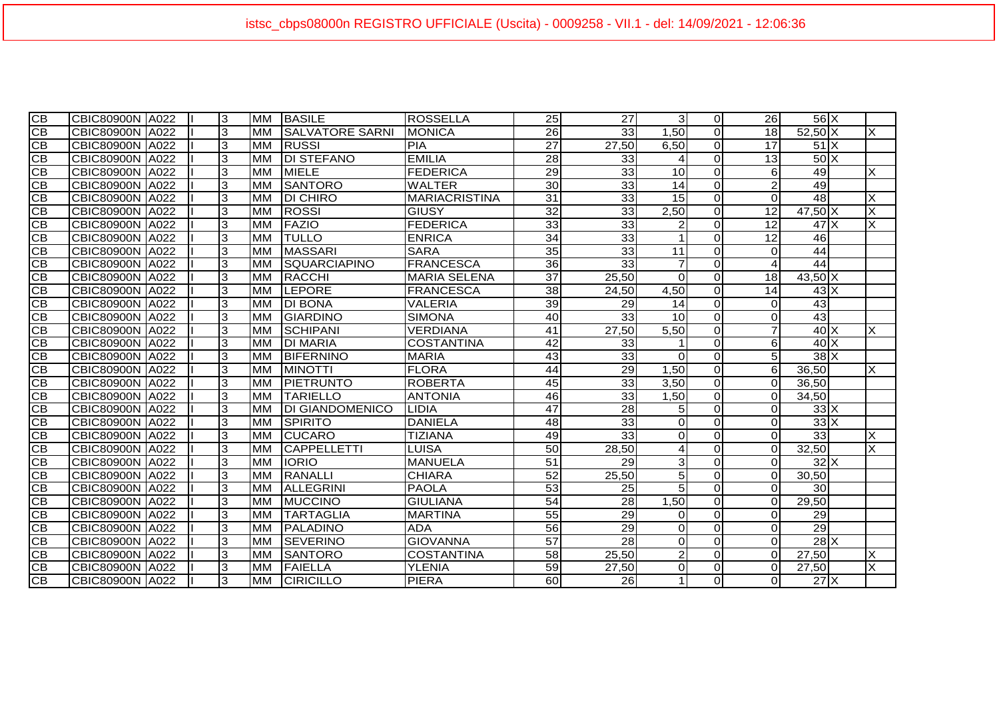| CВ              | CBIC80900N A022         |      | 3 | <b>MM</b> | <b>BASILE</b>          | <b>ROSSELLA</b>      | 25               | 27    | 3 <sup>l</sup>  | $\Omega$       | <b>26</b>              | $56$ $X$        |                           |
|-----------------|-------------------------|------|---|-----------|------------------------|----------------------|------------------|-------|-----------------|----------------|------------------------|-----------------|---------------------------|
| CB              | <b>CBIC80900N IA022</b> |      | 3 | IMM       | <b>SALVATORE SARNI</b> | IMONICA              | $\overline{26}$  | 33    | 1,50            | $\Omega$       | 18 <sup>l</sup>        | $52,50$ X       | X                         |
| CВ              | <b>CBIC80900N</b>       | A022 | 3 | Імм       | <b>RUSSI</b>           | <b>PIA</b>           | $\overline{27}$  | 27,50 | 6,50            | $\Omega$       | 17                     | $51$ $X$        |                           |
| <b>CB</b>       | <b>CBIC80900N</b>       | A022 | 3 | <b>MM</b> | <b>DI STEFANO</b>      | <b>EMILIA</b>        | 28               | 33    | 4               | $\Omega$       | 13                     | $50\text{X}$    |                           |
| $\overline{CB}$ | <b>CBIC80900N</b>       | A022 | 3 | <b>MM</b> | <b>MIELE</b>           | <b>FEDERICA</b>      | 29               | 33    | 10              | $\Omega$       | 6                      | 49              | X                         |
| <b>CB</b>       | <b>CBIC80900N</b>       | A022 | 3 | Імм       | <b>SANTORO</b>         | <b>WALTER</b>        | $\overline{30}$  | 33    | 14              | $\Omega$       | $\overline{2}$         | 49              |                           |
| $\overline{CB}$ | <b>CBIC80900N</b>       | A022 | 3 | <b>MM</b> | <b>DI CHIRO</b>        | <b>MARIACRISTINA</b> | $\overline{31}$  | 33    | 15              | $\Omega$       | $\Omega$               | 48              | $\overline{\mathsf{x}}$   |
| CB              | <b>CBIC80900N</b>       | A022 | 3 | <b>MM</b> | <b>ROSSI</b>           | <b>GIUSY</b>         | $32\overline{)}$ | 33    | 2,50            | $\Omega$       | 12                     | $47,50$ X       | $\overline{\mathsf{x}}$   |
| <b>CB</b>       | CBIC80900N A022         |      | 3 | Імм       | <b>FAZIO</b>           | <b>FEDERICA</b>      | 33               | 33    | $\overline{2}$  | $\Omega$       | 12                     | $47\text{X}$    | X                         |
| CB              | <b>CBIC80900N</b>       | A022 | 3 | Імм       | <b>TULLO</b>           | <b>ENRICA</b>        | 34               | 33    |                 | $\Omega$       | $\overline{12}$        | 46              |                           |
| СB              | <b>CBIC80900N</b>       | A022 | 3 | <b>MM</b> | <b>MASSARI</b>         | <b>SARA</b>          | 35               | 33    | 11              | $\Omega$       | $\Omega$               | 44              |                           |
| <b>CB</b>       | <b>CBIC80900N</b>       | A022 | 3 | <b>MM</b> | <b>ISQUARCIAPINO</b>   | <b>FRANCESCA</b>     | 36               | 33    | $\overline{7}$  | $\Omega$       | $\boldsymbol{\Lambda}$ | 44              |                           |
| CB              | <b>CBIC80900N</b>       | A022 | 3 | <b>MM</b> | <b>RACCHI</b>          | <b>MARIA SELENA</b>  | $\overline{37}$  | 25,50 | $\Omega$        | $\Omega$       | $\overline{18}$        | $43,50$ X       |                           |
| <b>CB</b>       | <b>CBIC80900N</b>       | A022 | 3 | <b>MM</b> | <b>LEPORE</b>          | FRANCESCA            | 38               | 24,50 | 4,50            | $\Omega$       | 14                     | $43\text{X}$    |                           |
| <b>CB</b>       | <b>CBIC80900N</b>       | A022 | 3 | <b>MM</b> | <b>DI BONA</b>         | VALERIA              | 39               | 29    | 14              | $\Omega$       | $\Omega$               | 43              |                           |
| <b>CB</b>       | <b>CBIC80900N</b>       | A022 | 3 | <b>MM</b> | <b>GIARDINO</b>        | SIMONA               | 40               | 33    | 10 <sup>1</sup> | $\Omega$       | $\Omega$               | 43              |                           |
| <b>CB</b>       | <b>CBIC80900N</b>       | A022 | 3 | <b>MM</b> | <b>SCHIPANI</b>        | VERDIANA             | 41               | 27,50 | 5,50            | $\overline{0}$ | $\overline{7}$         | $40\text{X}$    | $\times$                  |
| $\overline{CB}$ | <b>CBIC80900N</b>       | A022 | 3 | <b>MM</b> | <b>DI MARIA</b>        | COSTANTINA           | 42               | 33    |                 | $\Omega$       | 6                      | $40\text{X}$    |                           |
| CB              | <b>CBIC80900N</b>       | A022 | 3 | <b>MM</b> | <b>BIFERNINO</b>       | <b>MARIA</b>         | 43               | 33    | $\Omega$        | $\mathbf 0$    | 5                      | $38$ $X$        |                           |
| <b>CB</b>       | <b>CBIC80900N</b>       | A022 | 3 | Імм       | <b>MINOTTI</b>         | <b>FLORA</b>         | 44               | 29    | 1,50            | $\mathbf 0$    | $6 \mid$               | 36,50           | X                         |
| CB              | CBIC80900N A022         |      | 3 | Імм       | PIETRUNTO              | <b>ROBERTA</b>       | 45               | 33    | 3,50            | $\Omega$       | $\Omega$               | 36,50           |                           |
| CB              | <b>CBIC80900N</b>       | A022 | 3 | <b>MM</b> | <b>TARIELLO</b>        | <b>ANTONIA</b>       | 46               | 33    | 1,50            | 0              | $\Omega$               | 34,50           |                           |
| <b>CB</b>       | <b>CBIC80900N</b>       | A022 | 3 | <b>MM</b> | <b>DI GIANDOMENICO</b> | <b>LIDIA</b>         | $\overline{47}$  | 28    | 5 <sub>l</sub>  | $\Omega$       | $\Omega$               | $33\text{X}$    |                           |
| CB              | CBIC80900N A022         |      | 3 | <b>MM</b> | <b>SPIRITO</b>         | <b>DANIELA</b>       | 48               | 33    | $\overline{0}$  | $\Omega$       | $\Omega$               | 33X             |                           |
| <b>CB</b>       | CBIC80900N A022         |      | 3 | <b>MM</b> | <b>CUCARO</b>          | <b>TIZIANA</b>       | 49               | 33    | $\Omega$        | $\Omega$       | $\Omega$               | 33              | $\boldsymbol{\mathsf{X}}$ |
| СB              | <b>CBIC80900N</b>       | A022 | 3 | <b>MM</b> | <b>CAPPELLETTI</b>     | LUISA                | 50               | 28,50 | $\overline{4}$  | $\Omega$       | $\Omega$               | 32,50           | $\overline{\mathsf{x}}$   |
| $\overline{CB}$ | <b>CBIC80900N A022</b>  |      | 3 | <b>MM</b> | <b>IORIO</b>           | <b>MANUELA</b>       | 51               | 29    | $\mathbf{3}$    | $\overline{0}$ | $\Omega$               | 32X             |                           |
| СB              | CBIC80900N A022         |      | 3 | <b>MM</b> | <b>RANALLI</b>         | <b>CHIARA</b>        | 52               | 25,50 | 5 <sup>1</sup>  | $\overline{0}$ | $\Omega$               | 30,50           |                           |
| <b>CB</b>       | <b>CBIC80900N</b>       | A022 | 3 | <b>MM</b> | <b>ALLEGRINI</b>       | <b>PAOLA</b>         | 53               | 25    | 5 <sup>1</sup>  | $\Omega$       | $\Omega$               | 30 <sup>1</sup> |                           |
| CB              | <b>CBIC80900N</b>       | A022 | 3 | <b>MM</b> | <b>MUCCINO</b>         | <b>GIULIANA</b>      | 54               | 28    | 1,50            | $\overline{0}$ | $\Omega$               | 29,50           |                           |
| <b>CB</b>       | <b>CBIC80900N</b>       | A022 | 3 | <b>MM</b> | <b>TARTAGLIA</b>       | <b>MARTINA</b>       | 55               | 29    | <sup>O</sup>    | $\Omega$       | $\Omega$               | 29              |                           |
| CB              | CBIC80900N A022         |      | 3 | <b>MM</b> | <b>PALADINO</b>        | <b>ADA</b>           | 56               | 29    | $\overline{0}$  | $\Omega$       | $\Omega$               | 29              |                           |
| CB              | <b>CBIC80900N</b>       | A022 | 3 | <b>MM</b> | <b>SEVERINO</b>        | <b>GIOVANNA</b>      | 57               | 28    | $\overline{0}$  | $\mathbf 0$    | $\Omega$               | $28$ $X$        |                           |
| СB              | <b>CBIC80900N</b>       | A022 | 3 | IMM       | <b>SANTORO</b>         | COSTANTINA           | 58               | 25,50 | $\overline{2}$  | 0              | $\Omega$               | 27,50           | X                         |
| <b>CB</b>       | <b>CBIC80900N</b>       | A022 | 3 | <b>MM</b> | FAIELLA                | <b>YLENIA</b>        | 59               | 27,50 | 0l              | 0              | $\overline{0}$         | 27,50           | X                         |
| $\overline{CB}$ | <b>CBIC80900N</b>       | A022 | 3 | IMM       | <b>CIRICILLO</b>       | <b>PIERA</b>         | 60               | 26    | $\mathbf{1}$    | $\Omega$       | $\Omega$               | $27$ $\times$   |                           |